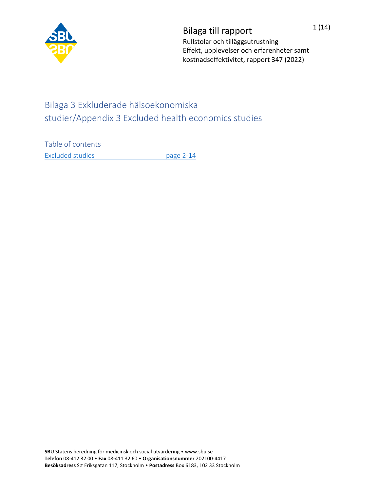

Bilaga till rapport 1(14) Rullstolar och tilläggsutrustning Effekt, upplevelser och erfarenheter samt kostnadseffektivitet, rapport 347 (2022)

## Bilaga 3 Exkluderade hälsoekonomiska studier/Appendix 3 Excluded health economics studies

Table of contents [Excluded studies page 2-14](#page-1-0)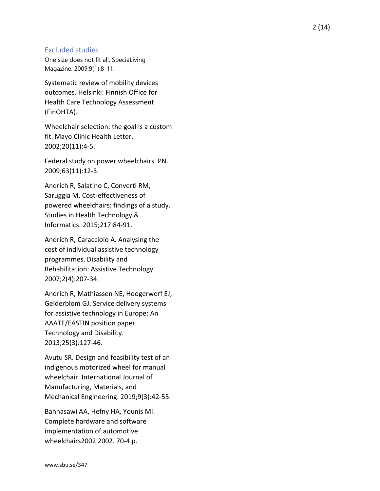## <span id="page-1-0"></span>Excluded studies

One size does not fit all. SpeciaLiving Magazine. 2009;9(1):8 -11.

Systematic review of mobility devices outcomes. Helsinki: Finnish Office for Health Care Technology Assessment (FinOHTA).

Wheelchair selection: the goal is a custom fit. Mayo Clinic Health Letter. 2002;20(11):4 -5.

Federal study on power wheelchairs. PN. 2009;63(11):12 -3.

Andrich R, Salatino C, Converti RM, Saruggia M. Cost -effectiveness of powered wheelchairs: findings of a study. Studies in Health Technology & Informatics. 2015;217:8 4 -91.

Andrich R, Caracciolo A. Analysing the cost of individual assistive technology programmes. Disability and Rehabilitation: Assistive Technology. 2007;2(4):207 -34.

Andrich R, Mathiassen NE, Hoogerwerf EJ, Gelderblom GJ. Service delivery systems for assistive technology in Europe: An AAATE/EASTIN position paper. Technology and Disability. 2013;25(3):127 -46.

Avutu SR. Design and feasibility test of an indigenous motorized wheel for manual wheelchair. International Journal of Manufacturing, Materials, and Mechanical Engineering. 2019;9(3):42 -55.

Bahnasawi AA, Hefny HA, Younis MI. Complete hardware and software implementation of automotive wheelchairs2002 2002. 70 -4 p.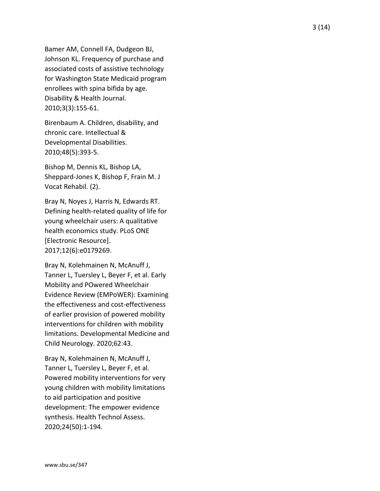Bamer AM, Connell FA, Dudgeon BJ, Johnson KL. Frequency of purchase and associated costs of assistive technology for Washington State Medicaid program enrollees with spina bifida by age. Disability & Health Journal. 2010;3(3):155 -61.

Birenbaum A. Children, disability, and chronic care. Intellectual & Developmental Disabilities. 2010;48(5):393 - 5 .

Bishop M, Dennis KL, Bishop LA, Sheppard -Jones K, Bishop F, Frain M. J Vocat Rehabil. (2).

Bray N, Noyes J, Harris N, Edwards RT. Defining health -related quality of life for young wheelchair users: A qualitative health economics study. PLoS ONE [Electronic Resource]. 2017;12(6):e0179269.

Bray N, Kolehmainen N, McAnuff J, Tanner L, Tuersley L, Beyer F, et al. Early Mobility and POwered Wheelchair Evidence Review (EMPoWER): Examining the effectiveness and cost -effectiveness of earlier provision of powered mobility interventions for children with mobility limitations. Developmental Medicine and Child Neurology. 2020;62:43.

Bray N, Kolehmainen N, McAnuff J, Tanner L, Tuersley L, Beyer F, et al. Powered mobility interventions for very young children with mobility limitations to aid participation and positive development: The empower evidence synthesis. Health Technol Assess. 2020;24(50):1 -194.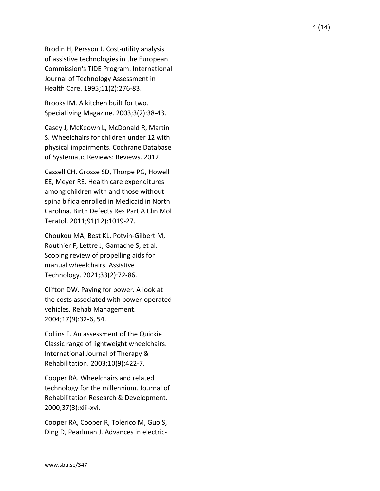Brodin H, Persson J. Cost -utility analysis of assistive technologies in the European Commission's TIDE Program. International Journal of Technology Assessment in Health Care. 1995;11(2):276 -83.

Brooks IM. A kitchen built for two. SpeciaLiving Magazine. 2003;3(2):38 -43.

Casey J, McKeown L, McDonald R, Martin S. Wheelchairs for children under 12 with physical impairments. Cochrane Database of Systematic Reviews: Reviews. 2012.

Cassell CH, Grosse SD, Thorpe PG, Howell EE, Meyer RE. Health care expenditures among children with and those without spina bifida enrolled in Medicaid in North Carolina. Birth Defects Res Part A Clin Mol Teratol. 2011;91(12):1019 -27.

Choukou MA, Best KL, Potvin -Gilbert M, Routhier F, Lettre J, Gamache S, et al. Scoping review of propelling aids for manual wheelchairs. Assistive Technology. 2021;33(2):72 -86.

Clifton DW. Paying for power. A look at the costs associated with power -operated vehicles. Rehab Management. 2004;17(9):32 -6, 54.

Collins F. An assessment of the Quickie Classic range of lightweight wheelchairs. International Journal of Therapy & Rehabilitation. 2003;10(9):422 -7.

Cooper RA. Wheelchairs and related technology for the millennium. Journal of Rehabilitation Research & Development. 2000;37(3):xiii -xvi.

Cooper RA, Cooper R, Tolerico M, Guo S, Ding D, Pearlman J. Advances in electric -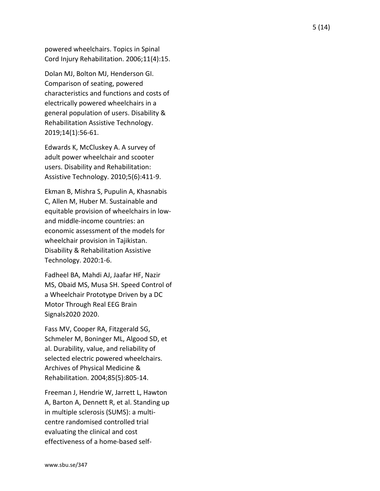powered wheelchairs. Topics in Spinal Cord Injury Rehabilitation. 2006;11(4):15.

Dolan MJ, Bolton MJ, Henderson GI. Comparison of seating, powered characteristics and functions and costs of electrically powered wheelchairs in a general population of users. Disability & Rehabilitation Assistive Technology. 2019;14(1):56 -61.

Edwards K, McCluskey A. A survey of adult power wheelchair and scooter users. Disability and Rehabilitation: Assistive Technology. 2010;5(6):411 -9.

Ekman B, Mishra S, Pupulin A, Khasnabis C, Allen M, Huber M. Sustainable and equitable provision of wheelchairs in low and middle -income countries: an economic assessment of the models for wheelchair provision in Tajikistan. Disability & Rehabilitation Assistive Technology. 2020:1 -6.

Fadheel BA, Mahdi AJ, Jaafar HF, Nazir MS, Obaid MS, Musa SH. Speed Control of a Wheelchair Prototype Driven by a DC Motor Through Real EEG Brain Signals2020 2020.

Fass MV, Cooper RA, Fitzgerald SG, Schmeler M, Boninger ML, Algood SD, et al. Durability, value, and reliability of selected electric powered wheelchairs. Archives of Physical Medicine & Rehabilitation. 2004;85(5):805 -14.

Freeman J, Hendrie W, Jarrett L, Hawton A, Barton A, Dennett R, et al. Standing up in multiple sclerosis (SUMS): a multi centre randomised controlled trial evaluating the clinical and cost effectiveness of a home -based self -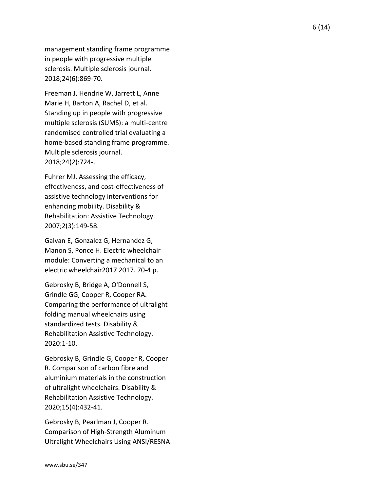management standing frame programme in people with progressive multiple sclerosis. Multiple sclerosis journal. 2018;24(6):869 -70 .

Freeman J, Hendrie W, Jarrett L, Anne Marie H, Barton A, Rachel D, et al. Standing up in people with progressive multiple sclerosis (SUMS): a multi -centre randomised controlled trial evaluating a home -based standing frame programme. Multiple sclerosis journal. 2018;24(2):724 - .

Fuhrer MJ. Assessing the efficacy, effectiveness, and cost -effectiveness of assistive technology interventions for enhancing mobility. Disability & Rehabilitation: Assistive Technology. 2007;2(3):149 -58.

Galvan E, Gonzalez G, Hernandez G, Manon S, Ponce H. Electric wheelchair module: Converting a mechanical to an electric wheelchair2017 2017. 70 -4 p.

Gebrosky B, Bridge A, O'Donnell S, Grindle GG, Cooper R, Cooper RA. Comparing the performance of ultralight folding manual wheelchairs using standardized tests. Disability & Rehabilitation Assistive Technology. 2020:1 -10.

Gebrosky B, Grindle G, Cooper R, Cooper R. Comparison of carbon fibre and aluminium materials in the construction of ultralight wheelchairs. Disability & Rehabilitation Assistive Technology. 2020;15(4):432 -41.

Gebrosky B, Pearlman J, Cooper R. Comparison of High -Strength Aluminum Ultralight Wheelchairs Using ANSI/RESNA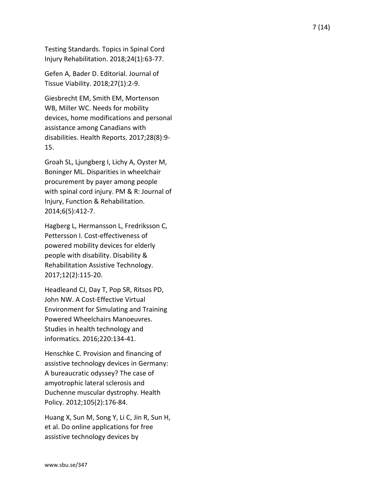Testing Standards. Topics in Spinal Cord Injury Rehabilitation. 2018;24(1):63 -77.

Gefen A, Bader D. Editorial. Journal of Tissue Viability. 2018;27(1):2 -9.

Giesbrecht EM, Smith EM, Mortenson WB, Miller WC. Needs for mobility devices, home modifications and personal assistance among Canadians with disabilities. Health Reports. 2017;28(8):9 - 15.

Groah SL, Ljungberg I, Lichy A, Oyster M, Boninger ML. Disparities in wheelchair procurement by payer among people with spinal cord injury. PM & R: Journal of Injury, Function & Rehabilitation. 2014;6(5):412 -7.

Hagberg L, Hermansson L, Fredriksson C, Pettersson I. Cost-effectiveness of powered mobility devices for elderly people with disability. Disability & Rehabilitation Assistive Technology. 2017;12(2):115 -20.

Headleand CJ, Day T, Pop SR, Ritsos PD, John NW. A Cost -Effective Virtual Environment for Simulating and Training Powered Wheelchairs Manoeuvres. Studies in health technology and informatics. 2016;220:134 -41.

Henschke C. Provision and financing of assistive technology devices in Germany: A bureaucratic odyssey? The case of amyotrophic lateral sclerosis and Duchenne muscular dystrophy. Health Policy. 2012;105(2):176 -84.

Huang X, Sun M, Song Y, Li C, Jin R, Sun H, et al. Do online applications for free assistive technology devices by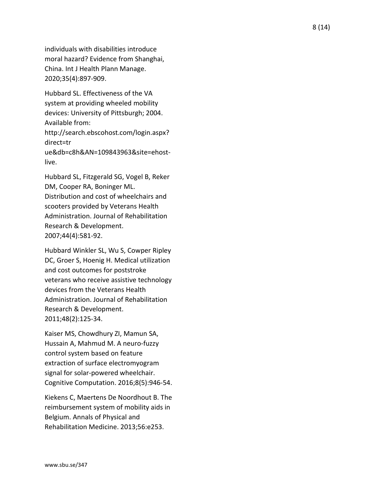individuals with disabilities introduce moral hazard? Evidence from Shanghai, China. Int J Health Plann Manage. 2020;35(4):897 -909.

Hubbard SL. Effectiveness of the VA system at providing wheeled mobility devices: University of Pittsburgh; 2004. Available from:

http://search.ebscohost.com/login.aspx? direct=tr

ue&db=c8h&AN=109843963&site=ehost live.

Hubbard SL, Fitzgerald SG, Vogel B, Reker DM, Cooper RA, Boninger ML.

Distribution and cost of wheelchairs and scooters provided by Veterans Health Administration. Journal of Rehabilitation Research & Development. 2007;44(4):581 -92.

Hubbard Winkler SL, Wu S, Cowper Ripley DC, Groer S, Hoenig H. Medical utilization and cost outcomes for poststroke veterans who receive assistive technology devices from the Veterans Health Administration. Journal of Rehabilitation Research & Development. 2011;48(2):125 -34.

Kaiser MS, Chowdhury ZI, Mamun SA, Hussain A, Mahmud M. A neuro -fuzzy control system based on feature extraction of surface electromyogram signal for solar -powered wheelchair. Cognitive Computation. 2016;8(5):946 -54.

Kiekens C, Maertens De Noordhout B. The reimbursement system of mobility aids in Belgium. Annals of Physical and Rehabilitation Medicine. 2013;56:e253.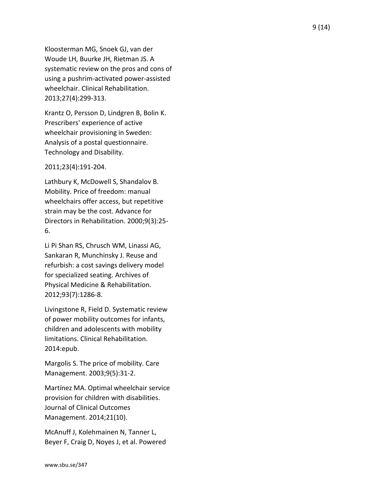Kloosterman MG, Snoek GJ, van der Woude LH, Buurke JH, Rietman JS. A systematic review on the pros and cons of using a pushrim -activated power -assisted wheelchair. Clinical Rehabilitation. 2013;27(4):299 -313.

Krantz O, Persson D, Lindgren B, Bolin K. Prescribers' experience of active wheelchair provisioning in Sweden: Analysis of a postal questionnaire. Technology and Disability.

2011;23(4):191 -204.

Lathbury K, McDowell S, Shandalov B. Mobility. Price of freedom: manual wheelchairs offer access, but repetitive strain may be the cost. Advance for Directors in Rehabilitation. 2000;9(3):25 - 6.

Li Pi Shan RS, Chrusch WM, Linassi AG, Sankaran R, Munchinsky J. Reuse and refurbish: a cost savings delivery model for specialized seating. Archives of Physical Medicine & Rehabilitation. 2012;93(7):1286 -8.

Livingstone R, Field D. Systematic review of power mobility outcomes for infants, children and adolescents with mobility limitations. Clinical Rehabilitation. 2014:epub.

Margolis S. The price of mobility. Care Management. 2003;9(5):31 -2.

Martínez MA. Optimal wheelchair service provision for children with disabilities. Journal of Clinical Outcomes Management. 2014;21(10).

McAnuff J, Kolehmainen N, Tanner L, Beyer F, Craig D, Noyes J, et al. Powered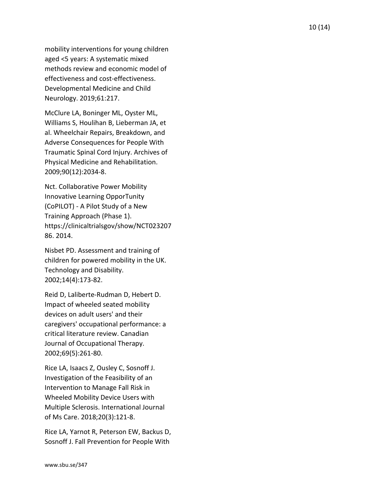mobility interventions for young children aged <5 years: A systematic mixed methods review and economic model of effectiveness and cost -effectiveness. Developmental Medicine and Child Neurology. 2019;61:217.

McClure LA, Boninger ML, Oyster ML, Williams S, Houlihan B, Lieberman JA, et al. Wheelchair Repairs, Breakdown, and Adverse Consequences for People With Traumatic Spinal Cord Injury. Archives of Physical Medicine and Rehabilitation. 2009;90(12):2034 -8.

Nct. Collaborative Power Mobility Innovative Learning OpporTunity (CoPILOT) - A Pilot Study of a New Training Approach (Phase 1). https://clinicaltrialsgov/show/NCT023207 86. 2014.

Nisbet PD. Assessment and training of children for powered mobility in the UK. Technology and Disability. 2002;14(4):173 -82.

Reid D, Laliberte -Rudman D, Hebert D. Impact of wheeled seated mobility devices on adult users' and their caregivers' occupational performance: a critical literature review. Canadian Journal of Occupational Therapy. 2002;69(5):261 -80.

Rice LA, Isaacs Z, Ousley C, Sosnoff J. Investigation of the Feasibility of an Intervention to Manage Fall Risk in Wheeled Mobility Device Users with Multiple Sclerosis. International Journal of Ms Care. 2018;20(3):121 -8.

Rice LA, Yarnot R, Peterson EW, Backus D, Sosnoff J. Fall Prevention for People With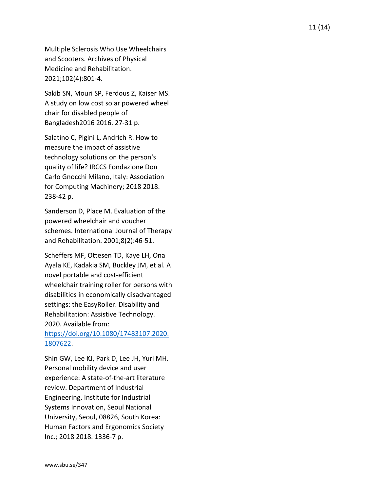Multiple Sclerosis Who Use Wheelchairs and Scooters. Archives of Physical Medicine and Rehabilitation. 2021;102(4):801 -4.

Sakib SN, Mouri SP, Ferdous Z, Kaiser MS. A study on low cost solar powered wheel chair for disabled people of Bangladesh2016 2016. 27 -31 p.

Salatino C, Pigini L, Andrich R. How to measure the impact of assistive technology solutions on the person's quality of life? IRCCS Fondazione Don Carlo Gnocchi Milano, Italy: Association for Computing Machinery; 2018 2018. 238 -42 p.

Sanderson D, Place M. Evaluation of the powered wheelchair and voucher schemes. International Journal of Therapy and Rehabilitation. 2001;8(2):46 -51.

Scheffers MF, Ottesen TD, Kaye LH, Ona Ayala KE, Kadakia SM, Buckley JM, et al. A novel portable and cost -efficient wheelchair training roller for persons with disabilities in economically disadvantaged settings: the EasyRoller. Disability and Rehabilitation: Assistive Technology. 2020. Available from:

## [https://doi.org/10.1080/17483107.2020.](https://doi.org/10.1080/17483107.2020.1807622) [1807622.](https://doi.org/10.1080/17483107.2020.1807622)

Shin GW, Lee KJ, Park D, Lee JH, Yuri MH. Personal mobility device and user experience: A state-of-the-art literature review. Department of Industrial Engineering, Institute for Industrial Systems Innovation, Seoul National University, Seoul, 08826, South Korea: Human Factors and Ergonomics Society Inc.; 2018 2018. 1336 -7 p.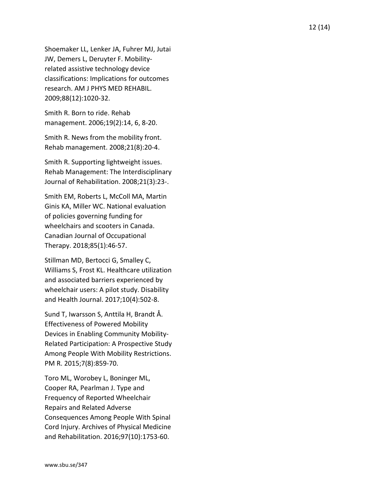Shoemaker LL, Lenker JA, Fuhrer MJ, Jutai JW, Demers L, Deruyter F. Mobility related assistive technology device classifications: Implications for outcomes research. AM J PHYS MED REHABIL. 2009;88(12):1020 -32.

Smith R. Born to ride. Rehab management. 2006;19(2):14, 6, 8 -20.

Smith R. News from the mobility front. Rehab management. 2008;21(8):20 -4.

Smith R. Supporting lightweight issues. Rehab Management: The Interdisciplinary Journal of Rehabilitation. 2008;21(3):23 - .

Smith EM, Roberts L, McColl MA, Martin Ginis KA, Miller WC. National evaluation of policies governing funding for wheelchairs and scooters in Canada. Canadian Journal of Occupational Therapy. 2018;85(1):46 -57.

Stillman MD, Bertocci G, Smalley C, Williams S, Frost KL. Healthcare utilization and associated barriers experienced by wheelchair users: A pilot study. Disability and Health Journal. 2017;10(4):502 -8.

Sund T, Iwarsson S, Anttila H, Brandt Å. Effectiveness of Powered Mobility Devices in Enabling Community Mobility - Related Participation: A Prospective Study Among People With Mobility Restrictions. PM R. 2015;7(8):859 -70.

Toro ML, Worobey L, Boninger ML, Cooper RA, Pearlman J. Type and Frequency of Reported Wheelchair Repairs and Related Adverse Consequences Among People With Spinal Cord Injury. Archives of Physical Medicine and Rehabilitation. 2016;97(10):1753 -60.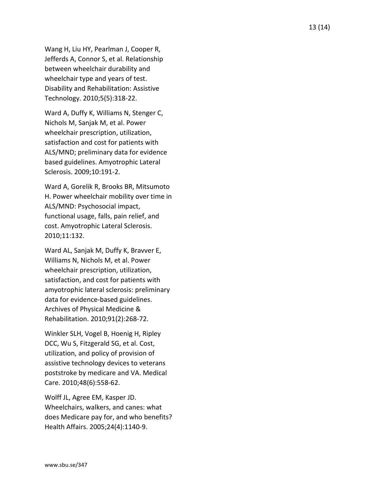Wang H, Liu HY, Pearlman J, Cooper R, Jefferds A, Connor S, et al. Relationship between wheelchair durability and wheelchair type and years of test. Disability and Rehabilitation: Assistive Technology. 2010;5(5):318 -22.

Ward A, Duffy K, Williams N, Stenger C, Nichols M, Sanjak M, et al. Power wheelchair prescription, utilization, satisfaction and cost for patients with ALS/MND; preliminary data for evidence based guidelines. Amyotrophic Lateral Sclerosis. 2009;10:191 -2.

Ward A, Gorelik R, Brooks BR, Mitsumoto H. Power wheelchair mobility over time in ALS/MND: Psychosocial impact, functional usage, falls, pain relief, and cost. Amyotrophic Lateral Sclerosis. 2010;11:132.

Ward AL, Sanjak M, Duffy K, Bravver E, Williams N, Nichols M, et al. Power wheelchair prescription, utilization, satisfaction, and cost for patients with amyotrophic lateral sclerosis: preliminary data for evidence -based guidelines. Archives of Physical Medicine & Rehabilitation. 2010;91(2):268-72.

Winkler SLH, Vogel B, Hoenig H, Ripley DCC, Wu S, Fitzgerald SG, et al. Cost, utilization, and policy of provision of assistive technology devices to veterans poststroke by medicare and VA. Medical Care. 2010;48(6):558 -62.

Wolff JL, Agree EM, Kasper JD. Wheelchairs, walkers, and canes: what does Medicare pay for, and who benefits? Health Affairs. 2005;24(4):1140 -9.